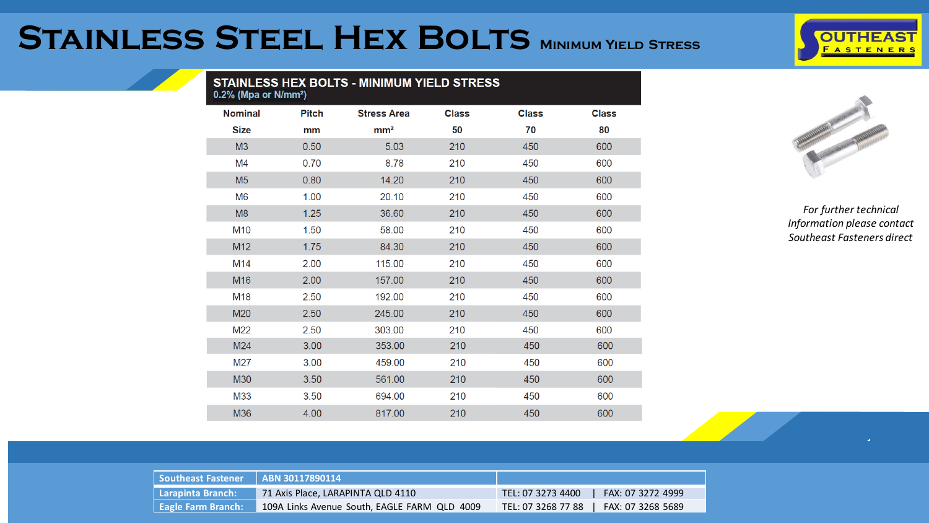## **Stainless Steel Hex Bolts Minimum Yield Stress**

| <b>STAINLESS HEX BOLTS - MINIMUM YIELD STRESS</b><br>$0.2\%$ (Mpa or N/mm <sup>2</sup> ) |              |                    |              |              |              |
|------------------------------------------------------------------------------------------|--------------|--------------------|--------------|--------------|--------------|
| <b>Nominal</b>                                                                           | <b>Pitch</b> | <b>Stress Area</b> | <b>Class</b> | <b>Class</b> | <b>Class</b> |
| <b>Size</b>                                                                              | mm           | mm <sup>2</sup>    | 50           | 70           | 80           |
| M3                                                                                       | 0.50         | 5.03               | 210          | 450          | 600          |
| M4                                                                                       | 0.70         | 8.78               | 210          | 450          | 600          |
| M <sub>5</sub>                                                                           | 0.80         | 14.20              | 210          | 450          | 600          |
| M <sub>6</sub>                                                                           | 1.00         | 20.10              | 210          | 450          | 600          |
| M8                                                                                       | 1.25         | 36.60              | 210          | 450          | 600          |
| M10                                                                                      | 1.50         | 58.00              | 210          | 450          | 600          |
| M <sub>12</sub>                                                                          | 1.75         | 84.30              | 210          | 450          | 600          |
| M14                                                                                      | 2.00         | 115.00             | 210          | 450          | 600          |
| M16                                                                                      | 2.00         | 157.00             | 210          | 450          | 600          |
| M18                                                                                      | 2.50         | 192.00             | 210          | 450          | 600          |
| M20                                                                                      | 2.50         | 245.00             | 210          | 450          | 600          |
| M22                                                                                      | 2.50         | 303.00             | 210          | 450          | 600          |
| M24                                                                                      | 3.00         | 353.00             | 210          | 450          | 600          |
| M27                                                                                      | 3.00         | 459.00             | 210          | 450          | 600          |
| <b>M30</b>                                                                               | 3.50         | 561.00             | 210          | 450          | 600          |
| M33                                                                                      | 3.50         | 694.00             | 210          | 450          | 600          |
| M36                                                                                      | 4.00         | 817.00             | 210          | 450          | 600          |



**OUTHEAST FASTENERS** 

| <b>Southeast Fastener</b> | LABN 30117890114                             |                                         |
|---------------------------|----------------------------------------------|-----------------------------------------|
| Larapinta Branch:         | 71 Axis Place, LARAPINTA QLD 4110            | TEL: 07 3273 4400<br>FAX: 07 3272 4999  |
| <b>Eagle Farm Branch:</b> | 109A Links Avenue South, EAGLE FARM QLD 4009 | FAX: 07 3268 5689<br>TEL: 07 3268 77 88 |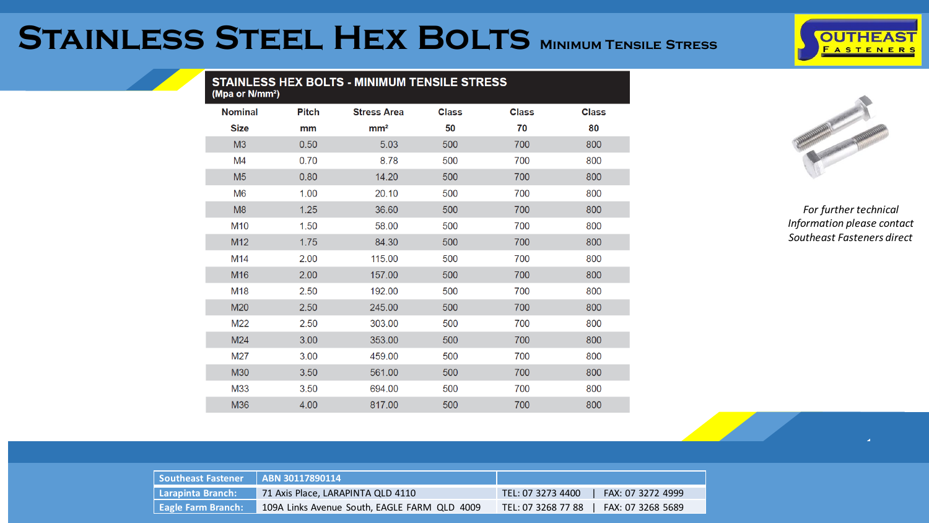## **Stainless Steel Hex Bolts Minimum Tensile Stress**

| <b>OUTHEAST</b> |                 |  |  |  |  |
|-----------------|-----------------|--|--|--|--|
|                 | <b>ASTENERS</b> |  |  |  |  |
|                 |                 |  |  |  |  |

| <b>STAINLESS HEX BOLTS - MINIMUM TENSILE STRESS</b><br>(Mpa or N/mm <sup>2</sup> ) |              |                    |              |              |              |
|------------------------------------------------------------------------------------|--------------|--------------------|--------------|--------------|--------------|
| <b>Nominal</b>                                                                     | <b>Pitch</b> | <b>Stress Area</b> | <b>Class</b> | <b>Class</b> | <b>Class</b> |
| <b>Size</b>                                                                        | mm           | mm <sup>2</sup>    | 50           | 70           | 80           |
| M <sub>3</sub>                                                                     | 0.50         | 5.03               | 500          | 700          | 800          |
| M4                                                                                 | 0.70         | 8.78               | 500          | 700          | 800          |
| M <sub>5</sub>                                                                     | 0.80         | 14.20              | 500          | 700          | 800          |
| M <sub>6</sub>                                                                     | 1.00         | 20.10              | 500          | 700          | 800          |
| M <sub>8</sub>                                                                     | 1.25         | 36.60              | 500          | 700          | 800          |
| M10                                                                                | 1.50         | 58.00              | 500          | 700          | 800          |
| M12                                                                                | 1.75         | 84.30              | 500          | 700          | 800          |
| M14                                                                                | 2.00         | 115.00             | 500          | 700          | 800          |
| M <sub>16</sub>                                                                    | 2.00         | 157.00             | 500          | 700          | 800          |
| M18                                                                                | 2.50         | 192.00             | 500          | 700          | 800          |
| M20                                                                                | 2.50         | 245.00             | 500          | 700          | 800          |
| M22                                                                                | 2.50         | 303.00             | 500          | 700          | 800          |
| M24                                                                                | 3.00         | 353.00             | 500          | 700          | 800          |
| M27                                                                                | 3.00         | 459.00             | 500          | 700          | 800          |
| M30                                                                                | 3.50         | 561.00             | 500          | 700          | 800          |
| M33                                                                                | 3.50         | 694.00             | 500          | 700          | 800          |
| M36                                                                                | 4.00         | 817.00             | 500          | 700          | 800          |



| Southeast Fastener   ABN 30117890114 |                                              |                                         |
|--------------------------------------|----------------------------------------------|-----------------------------------------|
| Larapinta Branch:                    | 71 Axis Place, LARAPINTA QLD 4110            | FAX: 07 3272 4999<br>TEL: 07 3273 4400  |
| <b>Eagle Farm Branch:</b>            | 109A Links Avenue South, EAGLE FARM QLD 4009 | FAX: 07 3268 5689<br>TEL: 07 3268 77 88 |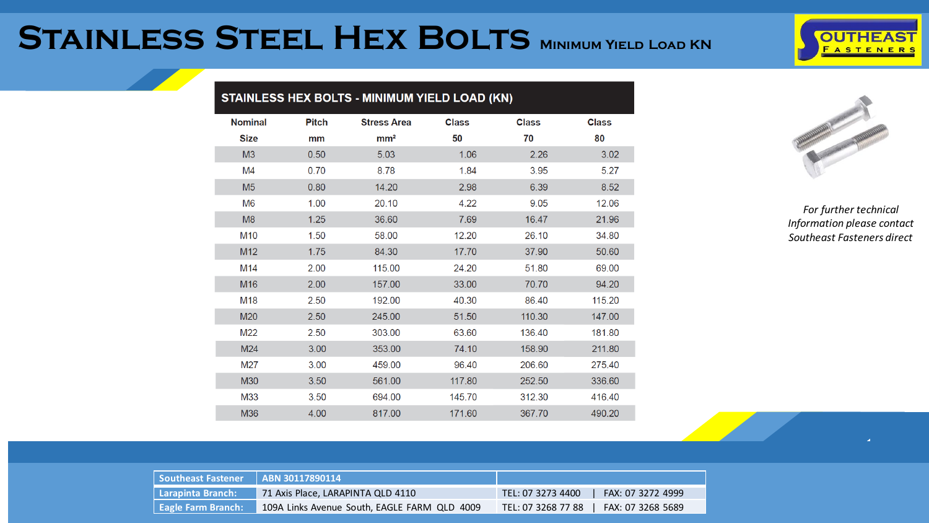## **Stainless Steel Hex Bolts Minimum Yield Load KN**



|                 |              | STAINLESS HEX BOLTS - MINIMUM YIELD LOAD (KN) |              |              |              |
|-----------------|--------------|-----------------------------------------------|--------------|--------------|--------------|
| <b>Nominal</b>  | <b>Pitch</b> | <b>Stress Area</b>                            | <b>Class</b> | <b>Class</b> | <b>Class</b> |
| <b>Size</b>     | mm           | mm <sup>2</sup>                               | 50           | 70           | 80           |
| M <sub>3</sub>  | 0.50         | 5.03                                          | 1.06         | 2.26         | 3.02         |
| M <sub>4</sub>  | 0.70         | 8.78                                          | 1.84         | 3.95         | 5.27         |
| M <sub>5</sub>  | 0.80         | 14.20                                         | 2.98         | 6.39         | 8.52         |
| M <sub>6</sub>  | 1.00         | 20.10                                         | 4.22         | 9.05         | 12.06        |
| M <sub>8</sub>  | 1.25         | 36.60                                         | 7.69         | 16.47        | 21.96        |
| M <sub>10</sub> | 1.50         | 58.00                                         | 12.20        | 26.10        | 34.80        |
| M12             | 1.75         | 84.30                                         | 17.70        | 37.90        | 50.60        |
| M14             | 2.00         | 115.00                                        | 24.20        | 51.80        | 69.00        |
| M16             | 2.00         | 157.00                                        | 33.00        | 70.70        | 94.20        |
| M18             | 2.50         | 192.00                                        | 40.30        | 86.40        | 115.20       |
| M20             | 2.50         | 245.00                                        | 51.50        | 110.30       | 147.00       |
| M22             | 2.50         | 303.00                                        | 63.60        | 136.40       | 181.80       |
| M24             | 3.00         | 353.00                                        | 74.10        | 158.90       | 211.80       |
| M27             | 3.00         | 459.00                                        | 96.40        | 206.60       | 275.40       |
| M30             | 3.50         | 561.00                                        | 117.80       | 252.50       | 336.60       |
| M33             | 3.50         | 694.00                                        | 145.70       | 312.30       | 416.40       |
| M36             | 4.00         | 817.00                                        | 171.60       | 367.70       | 490.20       |



| Southeast Fastener    ABN 30117890114 |                                              |                                         |
|---------------------------------------|----------------------------------------------|-----------------------------------------|
| Larapinta Branch:                     | 71 Axis Place, LARAPINTA QLD 4110            | TEL: 07 3273 4400<br>FAX: 07 3272 4999  |
| <b>Eagle Farm Branch:</b>             | 109A Links Avenue South, EAGLE FARM QLD 4009 | FAX: 07 3268 5689<br>TEL: 07 3268 77 88 |